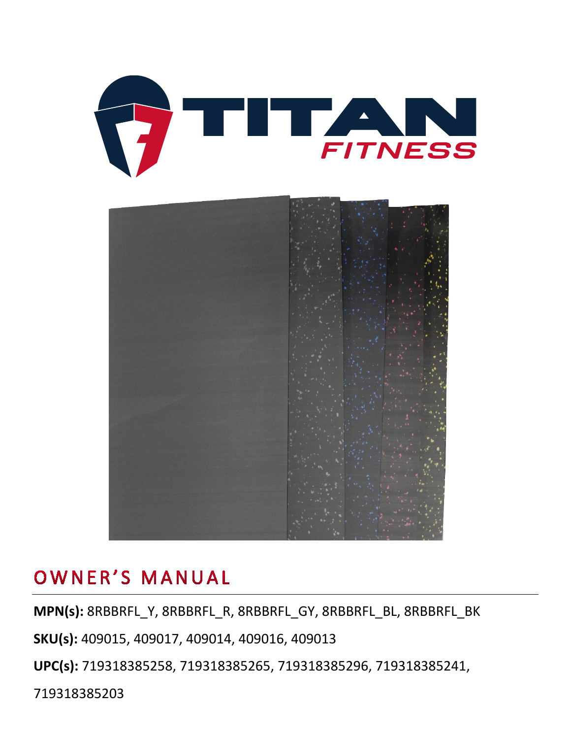



### OWNER'S MANUAL

**MPN(s):** 8RBBRFL\_Y, 8RBBRFL\_R, 8RBBRFL\_GY, 8RBBRFL\_BL, 8RBBRFL\_BK

**SKU(s):** 409015, 409017, 409014, 409016, 409013

**UPC(s):** 719318385258, 719318385265, 719318385296, 719318385241,

719318385203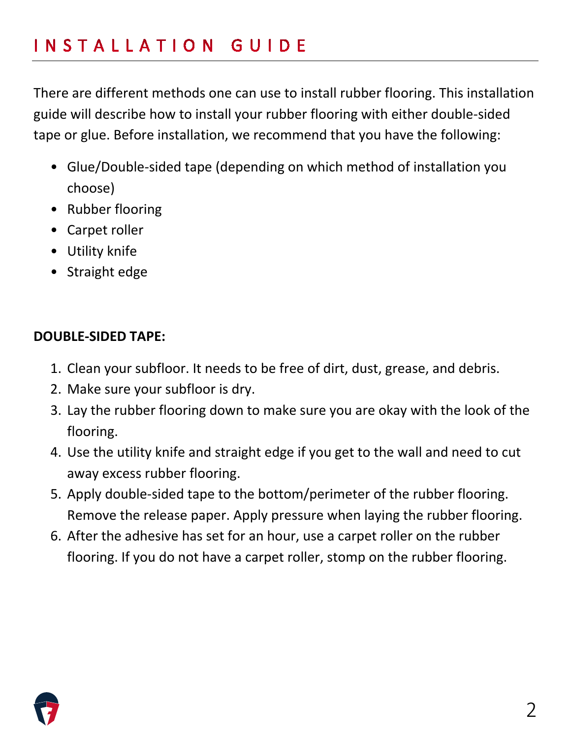There are different methods one can use to install rubber flooring. This installation guide will describe how to install your rubber flooring with either double-sided tape or glue. Before installation, we recommend that you have the following:

- Glue/Double-sided tape (depending on which method of installation you choose)
- Rubber flooring
- Carpet roller
- Utility knife
- Straight edge

#### **DOUBLE-SIDED TAPE:**

- 1. Clean your subfloor. It needs to be free of dirt, dust, grease, and debris.
- 2. Make sure your subfloor is dry.
- 3. Lay the rubber flooring down to make sure you are okay with the look of the flooring.
- 4. Use the utility knife and straight edge if you get to the wall and need to cut away excess rubber flooring.
- 5. Apply double-sided tape to the bottom/perimeter of the rubber flooring. Remove the release paper. Apply pressure when laying the rubber flooring.
- 6. After the adhesive has set for an hour, use a carpet roller on the rubber flooring. If you do not have a carpet roller, stomp on the rubber flooring.

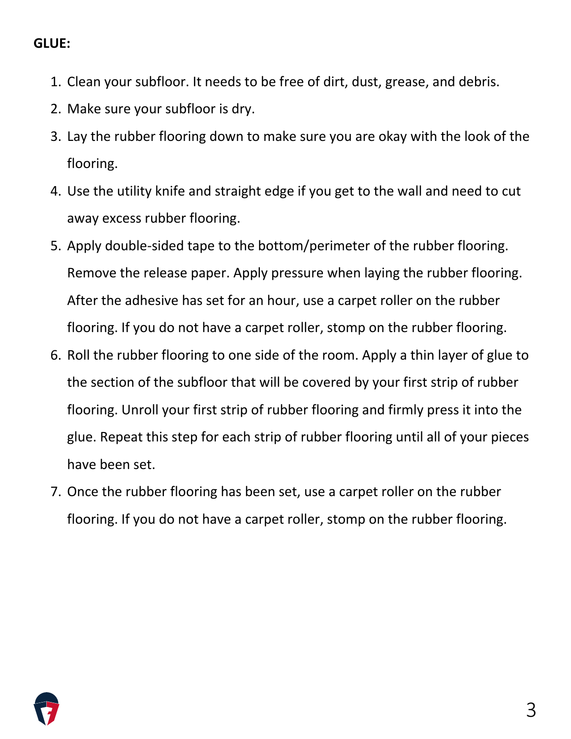#### **GLUE:**

- 1. Clean your subfloor. It needs to be free of dirt, dust, grease, and debris.
- 2. Make sure your subfloor is dry.
- 3. Lay the rubber flooring down to make sure you are okay with the look of the flooring.
- 4. Use the utility knife and straight edge if you get to the wall and need to cut away excess rubber flooring.
- 5. Apply double-sided tape to the bottom/perimeter of the rubber flooring. Remove the release paper. Apply pressure when laying the rubber flooring. After the adhesive has set for an hour, use a carpet roller on the rubber flooring. If you do not have a carpet roller, stomp on the rubber flooring.
- 6. Roll the rubber flooring to one side of the room. Apply a thin layer of glue to the section of the subfloor that will be covered by your first strip of rubber flooring. Unroll your first strip of rubber flooring and firmly press it into the glue. Repeat this step for each strip of rubber flooring until all of your pieces have been set.
- 7. Once the rubber flooring has been set, use a carpet roller on the rubber flooring. If you do not have a carpet roller, stomp on the rubber flooring.